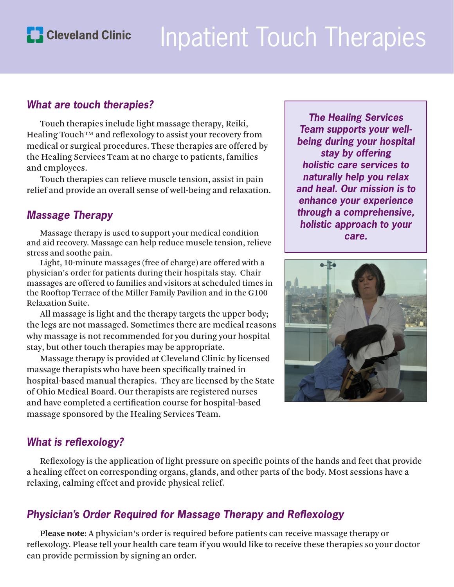

# Inpatient Touch Therapies

#### *What are touch therapies?*

Touch therapies include light massage therapy, Reiki, Healing Touch™ and reflexology to assist your recovery from medical or surgical procedures. These therapies are offered by the Healing Services Team at no charge to patients, families and employees.

Touch therapies can relieve muscle tension, assist in pain relief and provide an overall sense of well-being and relaxation.

## *Massage Therapy*

Massage therapy is used to support your medical condition and aid recovery. Massage can help reduce muscle tension, relieve stress and soothe pain.

Light, 10-minute massages (free of charge) are offered with a physician's order for patients during their hospitals stay. Chair massages are offered to families and visitors at scheduled times in the Rooftop Terrace of the Miller Family Pavilion and in the G100 Relaxation Suite.

All massage is light and the therapy targets the upper body; the legs are not massaged. Sometimes there are medical reasons why massage is not recommended for you during your hospital stay, but other touch therapies may be appropriate.

Massage therapy is provided at Cleveland Clinic by licensed massage therapists who have been specifically trained in hospital-based manual therapies. They are licensed by the State of Ohio Medical Board. Our therapists are registered nurses and have completed a certification course for hospital-based massage sponsored by the Healing Services Team.

*The Healing Services Team supports your wellbeing during your hospital stay by offering holistic care services to naturally help you relax and heal. Our mission is to enhance your experience through a comprehensive, holistic approach to your care.*



## *What is reflexology?*

Reflexology is the application of light pressure on specific points of the hands and feet that provide a healing effect on corresponding organs, glands, and other parts of the body. Most sessions have a relaxing, calming effect and provide physical relief.

## *Physician's Order Required for Massage Therapy and Reflexology*

**Please note:** A physician's order is required before patients can receive massage therapy or reflexology. Please tell your health care team if you would like to receive these therapies so your doctor can provide permission by signing an order.